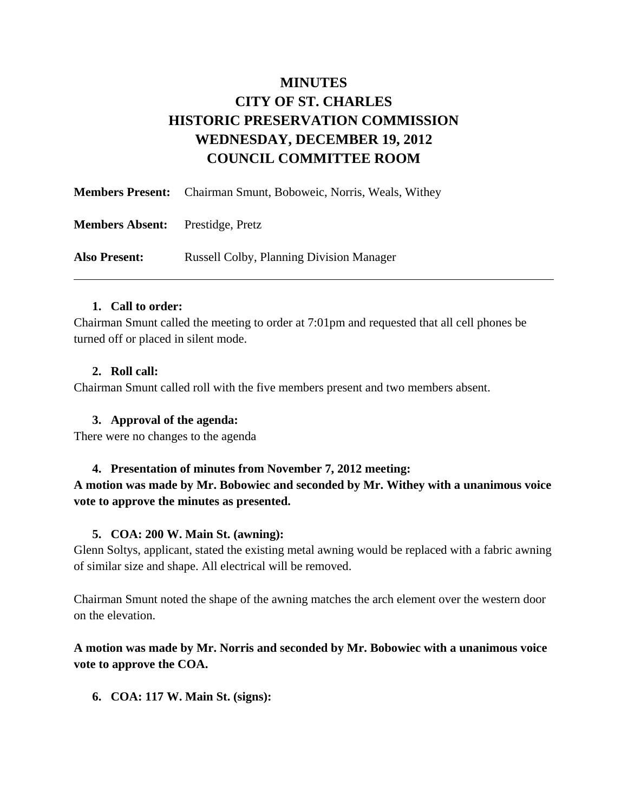# **MINUTES CITY OF ST. CHARLES HISTORIC PRESERVATION COMMISSION WEDNESDAY, DECEMBER 19, 2012 COUNCIL COMMITTEE ROOM**

|                                         | <b>Members Present:</b> Chairman Smunt, Boboweic, Norris, Weals, Withey |
|-----------------------------------------|-------------------------------------------------------------------------|
| <b>Members Absent:</b> Prestidge, Pretz |                                                                         |
| <b>Also Present:</b>                    | <b>Russell Colby, Planning Division Manager</b>                         |

### **1. Call to order:**

Chairman Smunt called the meeting to order at 7:01pm and requested that all cell phones be turned off or placed in silent mode.

### **2. Roll call:**

Chairman Smunt called roll with the five members present and two members absent.

### **3. Approval of the agenda:**

There were no changes to the agenda

### **4. Presentation of minutes from November 7, 2012 meeting:**

**A motion was made by Mr. Bobowiec and seconded by Mr. Withey with a unanimous voice vote to approve the minutes as presented.** 

### **5. COA: 200 W. Main St. (awning):**

Glenn Soltys, applicant, stated the existing metal awning would be replaced with a fabric awning of similar size and shape. All electrical will be removed.

Chairman Smunt noted the shape of the awning matches the arch element over the western door on the elevation.

## **A motion was made by Mr. Norris and seconded by Mr. Bobowiec with a unanimous voice vote to approve the COA.**

**6. COA: 117 W. Main St. (signs):**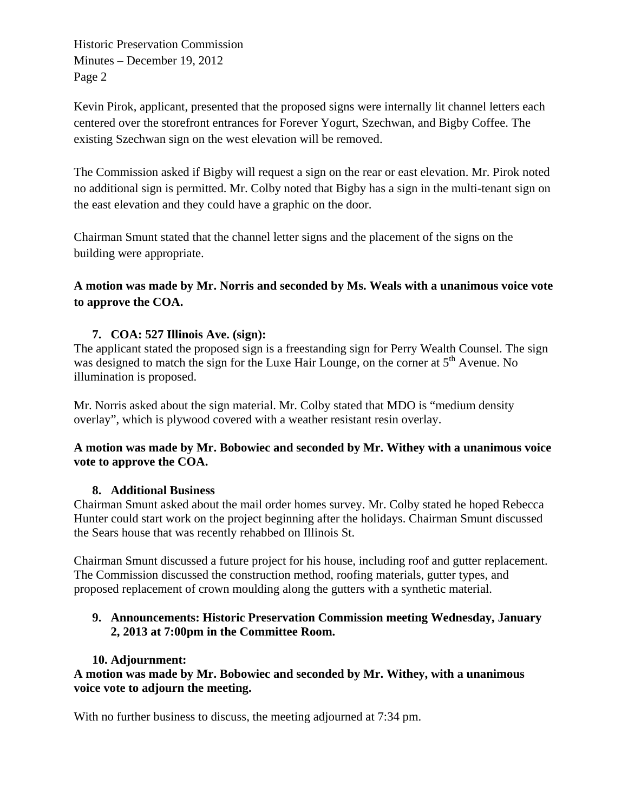Historic Preservation Commission Minutes – December 19, 2012 Page 2

Kevin Pirok, applicant, presented that the proposed signs were internally lit channel letters each centered over the storefront entrances for Forever Yogurt, Szechwan, and Bigby Coffee. The existing Szechwan sign on the west elevation will be removed.

The Commission asked if Bigby will request a sign on the rear or east elevation. Mr. Pirok noted no additional sign is permitted. Mr. Colby noted that Bigby has a sign in the multi-tenant sign on the east elevation and they could have a graphic on the door.

Chairman Smunt stated that the channel letter signs and the placement of the signs on the building were appropriate.

# **A motion was made by Mr. Norris and seconded by Ms. Weals with a unanimous voice vote to approve the COA.**

# **7. COA: 527 Illinois Ave. (sign):**

The applicant stated the proposed sign is a freestanding sign for Perry Wealth Counsel. The sign was designed to match the sign for the Luxe Hair Lounge, on the corner at  $5<sup>th</sup>$  Avenue. No illumination is proposed.

Mr. Norris asked about the sign material. Mr. Colby stated that MDO is "medium density overlay", which is plywood covered with a weather resistant resin overlay.

## **A motion was made by Mr. Bobowiec and seconded by Mr. Withey with a unanimous voice vote to approve the COA.**

## **8. Additional Business**

Chairman Smunt asked about the mail order homes survey. Mr. Colby stated he hoped Rebecca Hunter could start work on the project beginning after the holidays. Chairman Smunt discussed the Sears house that was recently rehabbed on Illinois St.

Chairman Smunt discussed a future project for his house, including roof and gutter replacement. The Commission discussed the construction method, roofing materials, gutter types, and proposed replacement of crown moulding along the gutters with a synthetic material.

# **9. Announcements: Historic Preservation Commission meeting Wednesday, January 2, 2013 at 7:00pm in the Committee Room.**

## **10. Adjournment:**

**A motion was made by Mr. Bobowiec and seconded by Mr. Withey, with a unanimous voice vote to adjourn the meeting.** 

With no further business to discuss, the meeting adjourned at 7:34 pm.